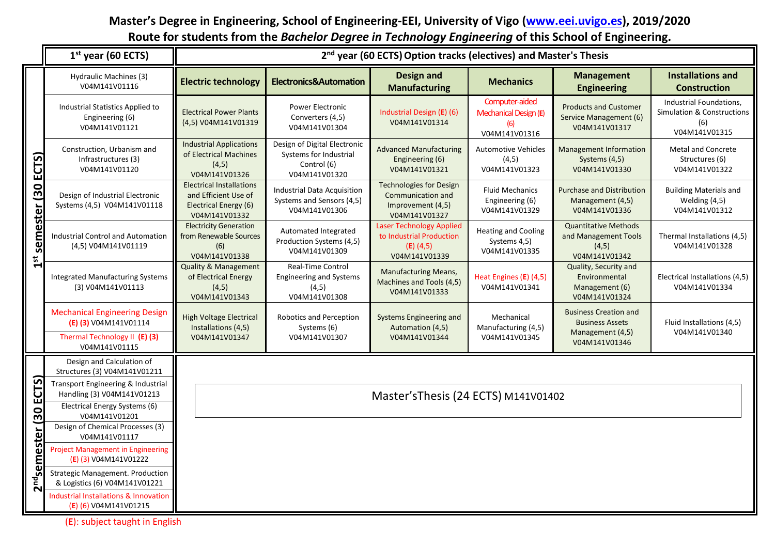## **Master's Degree in Engineering, School of Engineering-EEI, University of Vigo [\(www.eei.uvigo.es\)](http://www.eei.uvigo.es/), 2019/2020 Route for students from the** *Bachelor Degree in Technology Engineering* **of this School of Engineering.**

|                            | $1st$ year (60 ECTS)                                                                                                                                                | 2 <sup>nd</sup> year (60 ECTS) Option tracks (electives) and Master's Thesis                      |                                                                                        |                                                                                             |                                                                 |                                                                                             |                                                                               |  |  |  |
|----------------------------|---------------------------------------------------------------------------------------------------------------------------------------------------------------------|---------------------------------------------------------------------------------------------------|----------------------------------------------------------------------------------------|---------------------------------------------------------------------------------------------|-----------------------------------------------------------------|---------------------------------------------------------------------------------------------|-------------------------------------------------------------------------------|--|--|--|
|                            | Hydraulic Machines (3)<br>V04M141V01116                                                                                                                             | <b>Electric technology</b>                                                                        | <b>Electronics&amp;Automation</b>                                                      | <b>Design and</b><br><b>Manufacturing</b>                                                   | <b>Mechanics</b>                                                | <b>Management</b><br><b>Engineering</b>                                                     | <b>Installations and</b><br><b>Construction</b>                               |  |  |  |
| ECTS)<br>semester (30<br>5 | Industrial Statistics Applied to<br>Engineering (6)<br>V04M141V01121                                                                                                | <b>Electrical Power Plants</b><br>(4,5) V04M141V01319                                             | Power Electronic<br>Converters (4,5)<br>V04M141V01304                                  | Industrial Design (E) (6)<br>V04M141V01314                                                  | Computer-aided<br>Mechanical Design (E)<br>(6)<br>V04M141V01316 | <b>Products and Customer</b><br>Service Management (6)<br>V04M141V01317                     | Industrial Foundations,<br>Simulation & Constructions<br>(6)<br>V04M141V01315 |  |  |  |
|                            | Construction, Urbanism and<br>Infrastructures (3)<br>V04M141V01120                                                                                                  | <b>Industrial Applications</b><br>of Electrical Machines<br>(4,5)<br>V04M141V01326                | Design of Digital Electronic<br>Systems for Industrial<br>Control (6)<br>V04M141V01320 | <b>Advanced Manufacturing</b><br>Engineering (6)<br>V04M141V01321                           | <b>Automotive Vehicles</b><br>(4,5)<br>V04M141V01323            | <b>Management Information</b><br>Systems (4,5)<br>V04M141V01330                             | Metal and Concrete<br>Structures (6)<br>V04M141V01322                         |  |  |  |
|                            | Design of Industrial Electronic<br>Systems (4,5) V04M141V01118                                                                                                      | <b>Electrical Installations</b><br>and Efficient Use of<br>Electrical Energy (6)<br>V04M141V01332 | Industrial Data Acquisition<br>Systems and Sensors (4,5)<br>V04M141V01306              | <b>Technologies for Design</b><br>Communication and<br>Improvement (4,5)<br>V04M141V01327   | <b>Fluid Mechanics</b><br>Engineering (6)<br>V04M141V01329      | <b>Purchase and Distribution</b><br>Management (4,5)<br>V04M141V01336                       | <b>Building Materials and</b><br>Welding (4,5)<br>V04M141V01312               |  |  |  |
|                            | <b>Industrial Control and Automation</b><br>(4,5) V04M141V01119                                                                                                     | <b>Electricity Generation</b><br>from Renewable Sources<br>(6)<br>V04M141V01338                   | Automated Integrated<br>Production Systems (4,5)<br>V04M141V01309                      | <b>Laser Technology Applied</b><br>to Industrial Production<br>$(E)$ (4,5)<br>V04M141V01339 | <b>Heating and Cooling</b><br>Systems 4,5)<br>V04M141V01335     | <b>Quantitative Methods</b><br>and Management Tools<br>(4, 5)<br>V04M141V01342              | Thermal Installations (4,5)<br>V04M141V01328                                  |  |  |  |
|                            | <b>Integrated Manufacturing Systems</b><br>(3) V04M141V01113                                                                                                        | <b>Quality &amp; Management</b><br>of Electrical Energy<br>(4, 5)<br>V04M141V01343                | <b>Real-Time Control</b><br><b>Engineering and Systems</b><br>(4,5)<br>V04M141V01308   | <b>Manufacturing Means,</b><br>Machines and Tools (4,5)<br>V04M141V01333                    | Heat Engines (E) (4,5)<br>V04M141V01341                         | Quality, Security and<br>Environmental<br>Management (6)<br>V04M141V01324                   | Electrical Installations (4,5)<br>V04M141V01334                               |  |  |  |
|                            | <b>Mechanical Engineering Design</b><br>(E) (3) V04M141V01114<br>Thermal Technology II (E) (3)<br>V04M141V01115                                                     | <b>High Voltage Electrical</b><br>Installations (4,5)<br>V04M141V01347                            | Robotics and Perception<br>Systems (6)<br>V04M141V01307                                | Systems Engineering and<br>Automation (4,5)<br>V04M141V01344                                | Mechanical<br>Manufacturing (4,5)<br>V04M141V01345              | <b>Business Creation and</b><br><b>Business Assets</b><br>Management (4,5)<br>V04M141V01346 | Fluid Installations (4,5)<br>V04M141V01340                                    |  |  |  |
|                            | Design and Calculation of<br>Structures (3) V04M141V01211                                                                                                           |                                                                                                   |                                                                                        |                                                                                             |                                                                 |                                                                                             |                                                                               |  |  |  |
| ECTS<br>30                 | Transport Engineering & Industrial<br>Handling (3) V04M141V01213<br>Electrical Energy Systems (6)                                                                   | Master's Thesis (24 ECTS) M141V01402                                                              |                                                                                        |                                                                                             |                                                                 |                                                                                             |                                                                               |  |  |  |
| semester (                 | V04M141V01201<br>Design of Chemical Processes (3)<br>V04M141V01117<br><b>Project Management in Engineering</b>                                                      |                                                                                                   |                                                                                        |                                                                                             |                                                                 |                                                                                             |                                                                               |  |  |  |
| 2 <sup>nd</sup>            | (E) (3) V04M141V01222<br><b>Strategic Management. Production</b><br>& Logistics (6) V04M141V01221<br>Industrial Installations & Innovation<br>(E) (6) V04M141V01215 |                                                                                                   |                                                                                        |                                                                                             |                                                                 |                                                                                             |                                                                               |  |  |  |

(**E**): subject taught in English